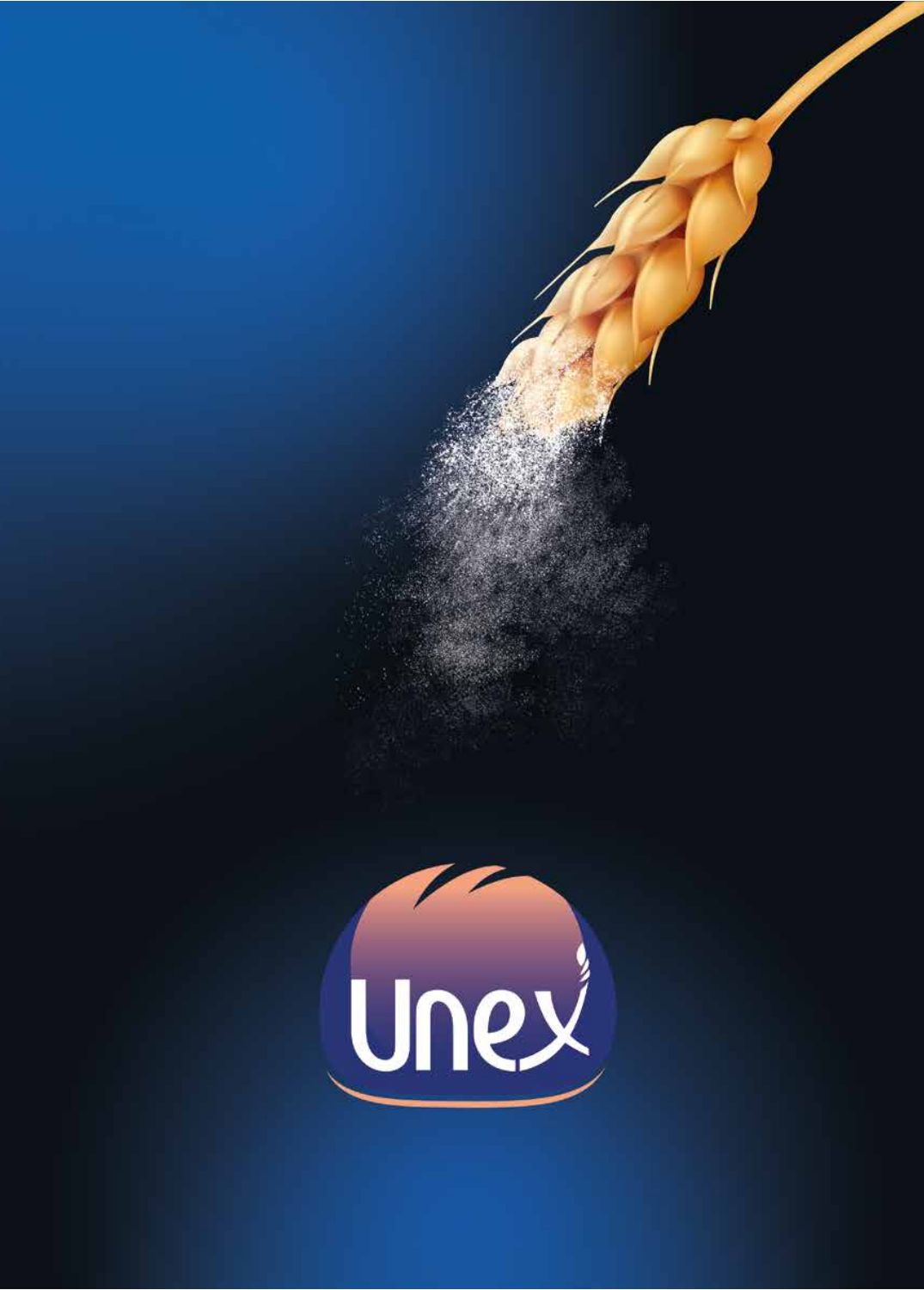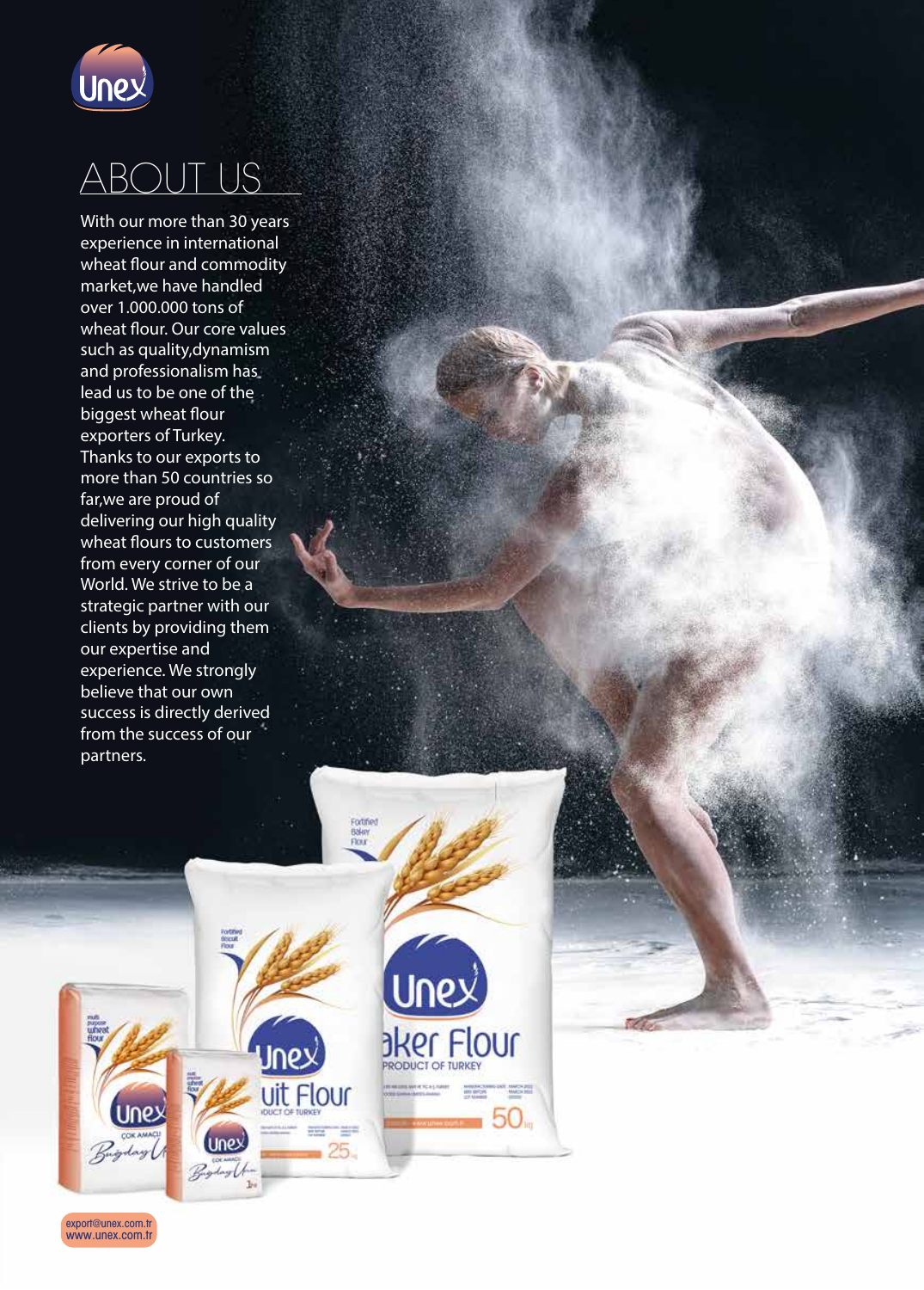

### ABOUT US

With our more than 30 years experience in international wheat flour and commodity market,we have handled over 1.000.000 tons of wheat flour. Our core values such as quality,dynamism and professionalism has lead us to be one of the biggest wheat flour exporters of Turkey. Thanks to our exports to more than 50 countries so far,we are proud of delivering our high quality wheat flours to customers from every corner of our World. We strive to be a strategic partner with our clients by providing them our expertise and experience. We strongly believe that our own success is directly derived from the success of our partners.



www.unex.com.tr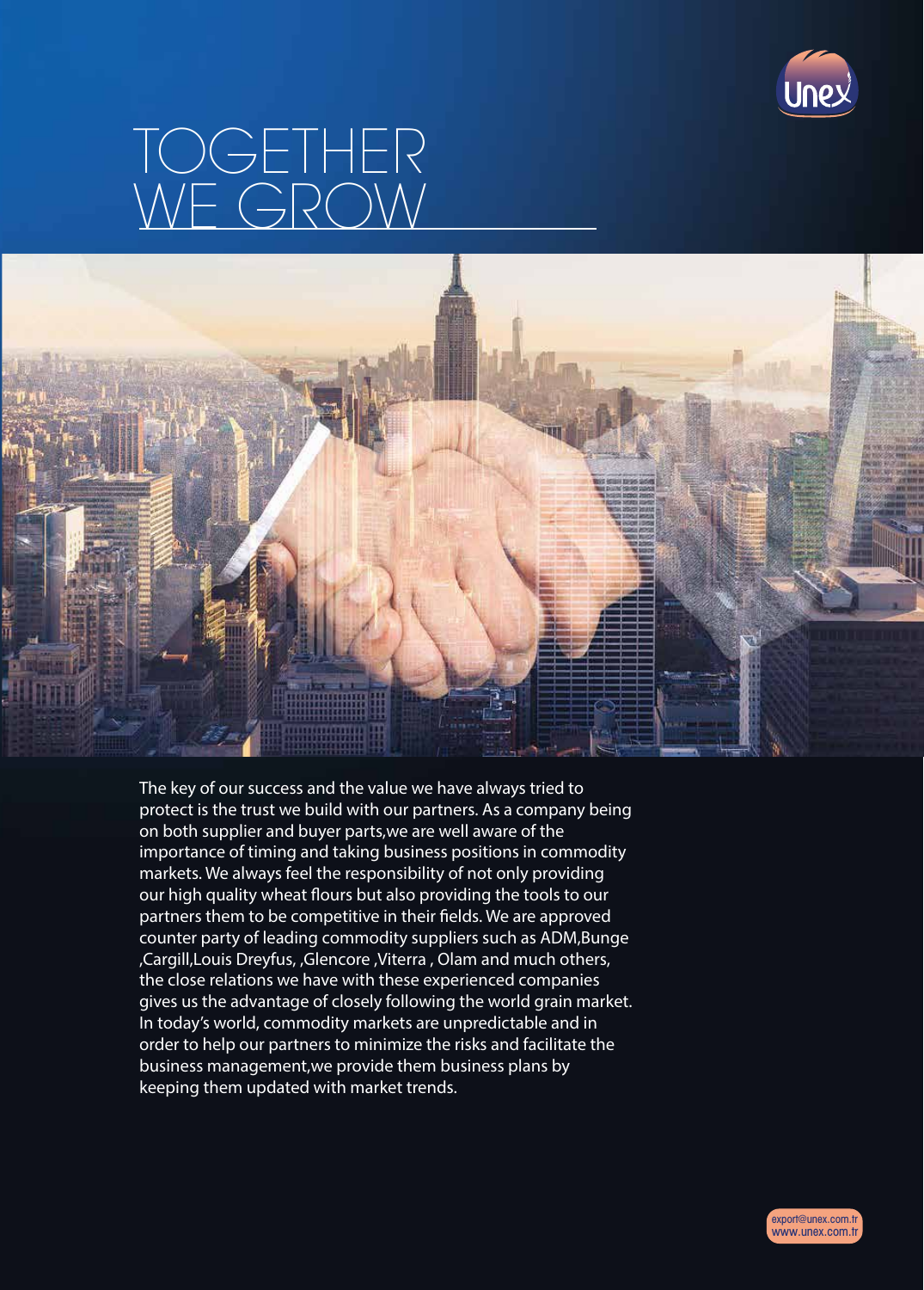

# TOGETHER WE GROW



The key of our success and the value we have always tried to protect is the trust we build with our partners. As a company being on both supplier and buyer parts,we are well aware of the importance of timing and taking business positions in commodity markets. We always feel the responsibility of not only providing our high quality wheat flours but also providing the tools to our partners them to be competitive in their fields. We are approved counter party of leading commodity suppliers such as ADM,Bunge ,Cargill,Louis Dreyfus, ,Glencore ,Viterra , Olam and much others, the close relations we have with these experienced companies gives us the advantage of closely following the world grain market. In today's world, commodity markets are unpredictable and in order to help our partners to minimize the risks and facilitate the business management,we provide them business plans by keeping them updated with market trends.

www.unex.com.tr export@unex.com.tr